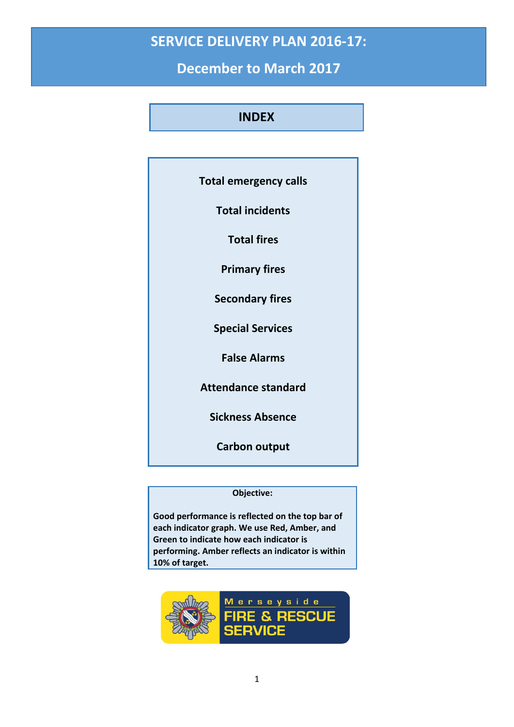# **SERVICE DELIVERY PLAN 2016-17:**

**December to March 2017**

### **INDEX**

| <b>Total emergency calls</b> |
|------------------------------|
| <b>Total incidents</b>       |
| <b>Total fires</b>           |
| <b>Primary fires</b>         |
| <b>Secondary fires</b>       |
| <b>Special Services</b>      |
| <b>False Alarms</b>          |
| <b>Attendance standard</b>   |
| <b>Sickness Absence</b>      |
| <b>Carbon output</b>         |

#### **Objective:**

**Good performance is reflected on the top bar of each indicator graph. We use Red, Amber, and Green to indicate how each indicator is performing. Amber reflects an indicator is within 10% of target.**

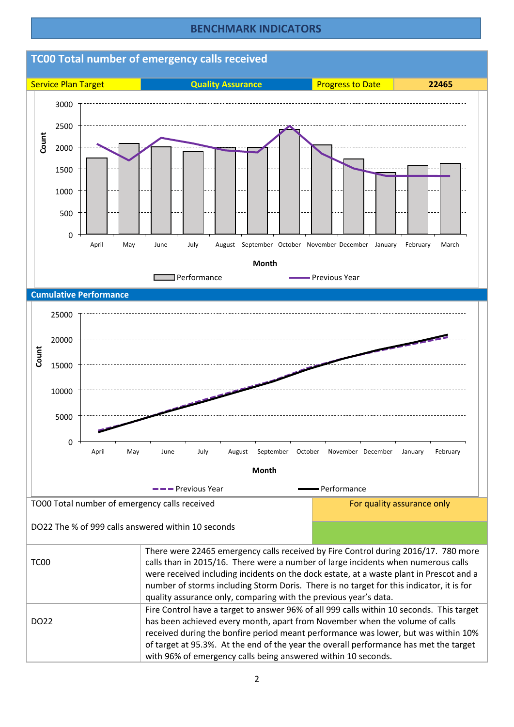#### **BENCHMARK INDICATORS**



### **TC00 Total number of emergency calls received**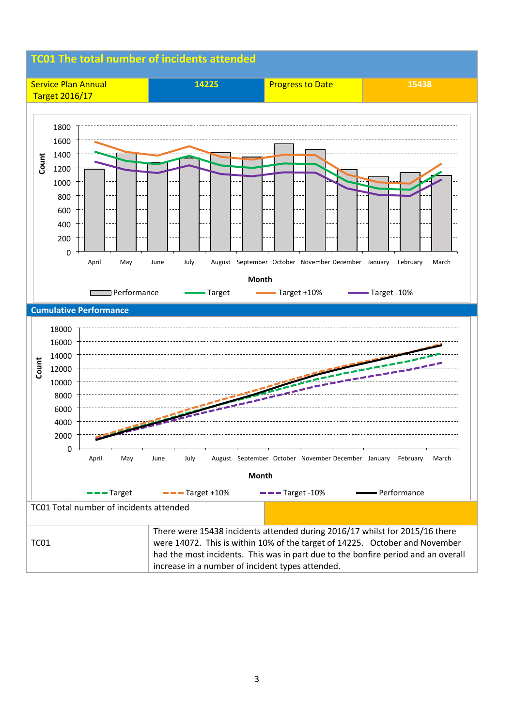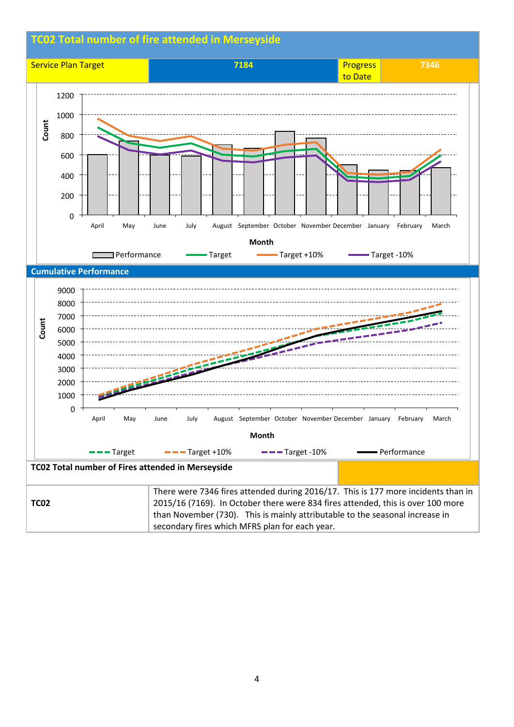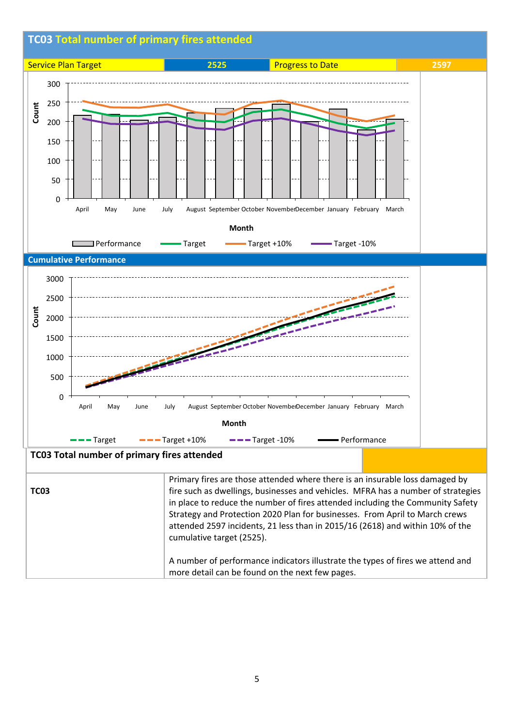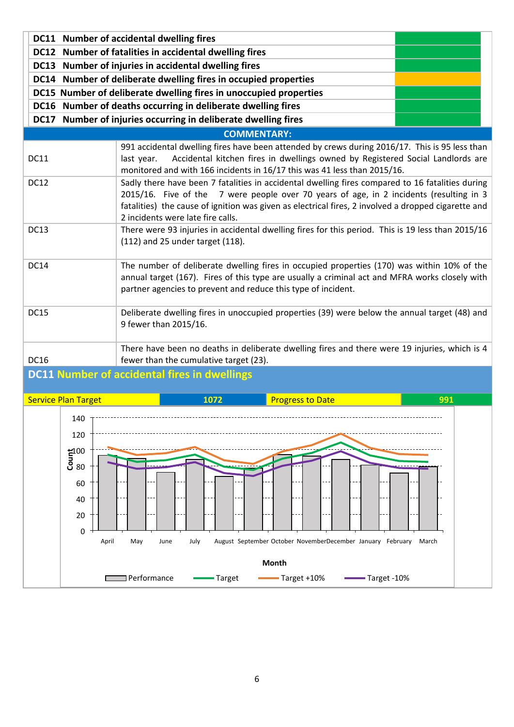|                    |                                                                                                                                                                                                                                                               | DC11 Number of accidental dwelling fires<br>DC12 Number of fatalities in accidental dwelling fires                                                                                                                                                                                                                                      |  |      |  |                         |  |  |  |  |     |
|--------------------|---------------------------------------------------------------------------------------------------------------------------------------------------------------------------------------------------------------------------------------------------------------|-----------------------------------------------------------------------------------------------------------------------------------------------------------------------------------------------------------------------------------------------------------------------------------------------------------------------------------------|--|------|--|-------------------------|--|--|--|--|-----|
|                    | DC13 Number of injuries in accidental dwelling fires                                                                                                                                                                                                          |                                                                                                                                                                                                                                                                                                                                         |  |      |  |                         |  |  |  |  |     |
|                    | DC14 Number of deliberate dwelling fires in occupied properties                                                                                                                                                                                               |                                                                                                                                                                                                                                                                                                                                         |  |      |  |                         |  |  |  |  |     |
|                    | DC15 Number of deliberate dwelling fires in unoccupied properties                                                                                                                                                                                             |                                                                                                                                                                                                                                                                                                                                         |  |      |  |                         |  |  |  |  |     |
|                    | DC16 Number of deaths occurring in deliberate dwelling fires                                                                                                                                                                                                  |                                                                                                                                                                                                                                                                                                                                         |  |      |  |                         |  |  |  |  |     |
|                    | DC17 Number of injuries occurring in deliberate dwelling fires                                                                                                                                                                                                |                                                                                                                                                                                                                                                                                                                                         |  |      |  |                         |  |  |  |  |     |
| <b>COMMENTARY:</b> |                                                                                                                                                                                                                                                               |                                                                                                                                                                                                                                                                                                                                         |  |      |  |                         |  |  |  |  |     |
| <b>DC11</b>        |                                                                                                                                                                                                                                                               | 991 accidental dwelling fires have been attended by crews during 2016/17. This is 95 less than<br>Accidental kitchen fires in dwellings owned by Registered Social Landlords are<br>last year.<br>monitored and with 166 incidents in 16/17 this was 41 less than 2015/16.                                                              |  |      |  |                         |  |  |  |  |     |
| <b>DC12</b>        |                                                                                                                                                                                                                                                               | Sadly there have been 7 fatalities in accidental dwelling fires compared to 16 fatalities during<br>2015/16. Five of the 7 were people over 70 years of age, in 2 incidents (resulting in 3<br>fatalities) the cause of ignition was given as electrical fires, 2 involved a dropped cigarette and<br>2 incidents were late fire calls. |  |      |  |                         |  |  |  |  |     |
| <b>DC13</b>        |                                                                                                                                                                                                                                                               | There were 93 injuries in accidental dwelling fires for this period. This is 19 less than 2015/16<br>(112) and 25 under target (118).                                                                                                                                                                                                   |  |      |  |                         |  |  |  |  |     |
| <b>DC14</b>        | The number of deliberate dwelling fires in occupied properties (170) was within 10% of the<br>annual target (167). Fires of this type are usually a criminal act and MFRA works closely with<br>partner agencies to prevent and reduce this type of incident. |                                                                                                                                                                                                                                                                                                                                         |  |      |  |                         |  |  |  |  |     |
| <b>DC15</b>        |                                                                                                                                                                                                                                                               | Deliberate dwelling fires in unoccupied properties (39) were below the annual target (48) and<br>9 fewer than 2015/16.                                                                                                                                                                                                                  |  |      |  |                         |  |  |  |  |     |
| <b>DC16</b>        | There have been no deaths in deliberate dwelling fires and there were 19 injuries, which is 4<br>fewer than the cumulative target (23).                                                                                                                       |                                                                                                                                                                                                                                                                                                                                         |  |      |  |                         |  |  |  |  |     |
|                    | <b>DC11 Number of accidental fires in dwellings</b>                                                                                                                                                                                                           |                                                                                                                                                                                                                                                                                                                                         |  |      |  |                         |  |  |  |  |     |
|                    | <b>Service Plan Target</b>                                                                                                                                                                                                                                    |                                                                                                                                                                                                                                                                                                                                         |  | 1072 |  | <b>Progress to Date</b> |  |  |  |  | 991 |
|                    | 140<br>120<br>$\mathbf{\bar{g}}^{100}_{80}$                                                                                                                                                                                                                   |                                                                                                                                                                                                                                                                                                                                         |  |      |  |                         |  |  |  |  |     |
|                    | 60<br>40                                                                                                                                                                                                                                                      |                                                                                                                                                                                                                                                                                                                                         |  |      |  |                         |  |  |  |  |     |

April May June July August September October NovemberDecember January February March

**Month**

Target Target Target +10% Target -10%

0 20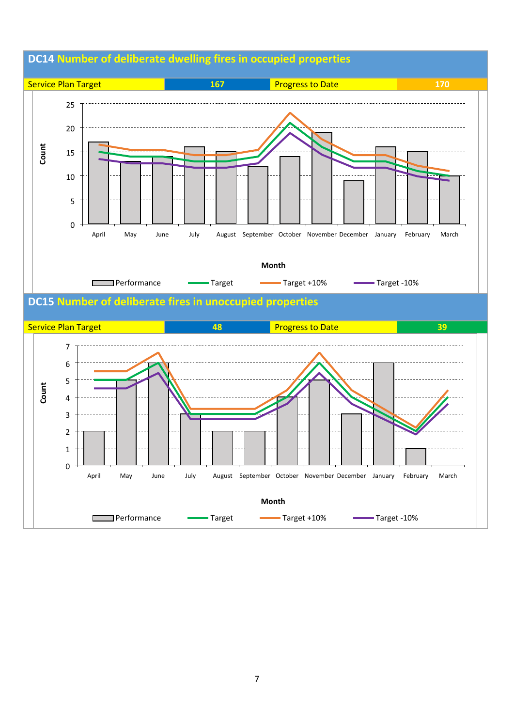

### **DC14 Number of deliberate dwelling fires in occupied properties**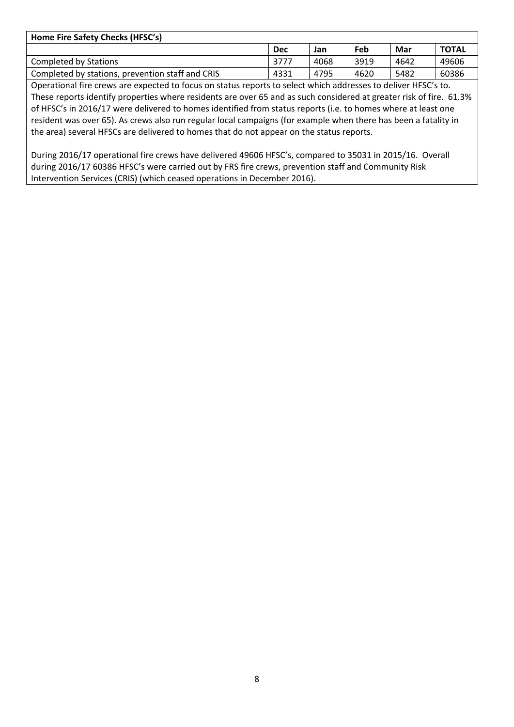| Home Fire Safety Checks (HFSC's)                 |      |      |      |      |              |  |  |  |  |
|--------------------------------------------------|------|------|------|------|--------------|--|--|--|--|
|                                                  | Dec  | Jan  | Feb  | Mar  | <b>TOTAL</b> |  |  |  |  |
| Completed by Stations                            | 3777 | 4068 | 3919 | 4642 | 49606        |  |  |  |  |
| Completed by stations, prevention staff and CRIS | 4331 | 4795 | 4620 | 5482 | 60386        |  |  |  |  |

Operational fire crews are expected to focus on status reports to select which addresses to deliver HFSC's to. These reports identify properties where residents are over 65 and as such considered at greater risk of fire. 61.3% of HFSC's in 2016/17 were delivered to homes identified from status reports (i.e. to homes where at least one resident was over 65). As crews also run regular local campaigns (for example when there has been a fatality in the area) several HFSCs are delivered to homes that do not appear on the status reports.

During 2016/17 operational fire crews have delivered 49606 HFSC's, compared to 35031 in 2015/16. Overall during 2016/17 60386 HFSC's were carried out by FRS fire crews, prevention staff and Community Risk Intervention Services (CRIS) (which ceased operations in December 2016).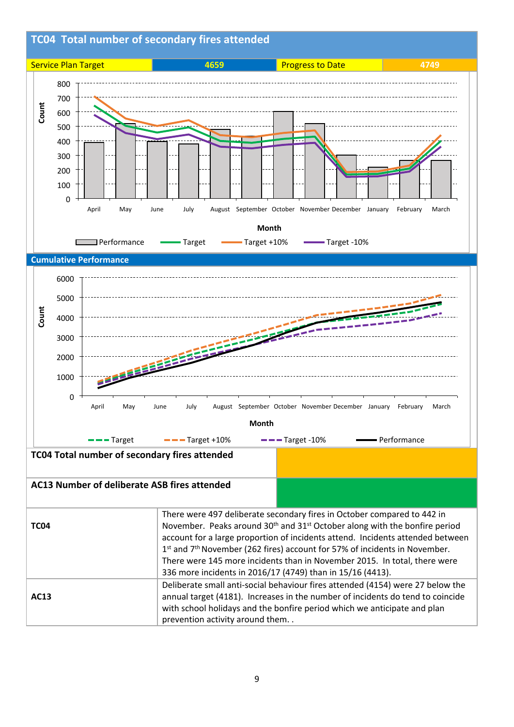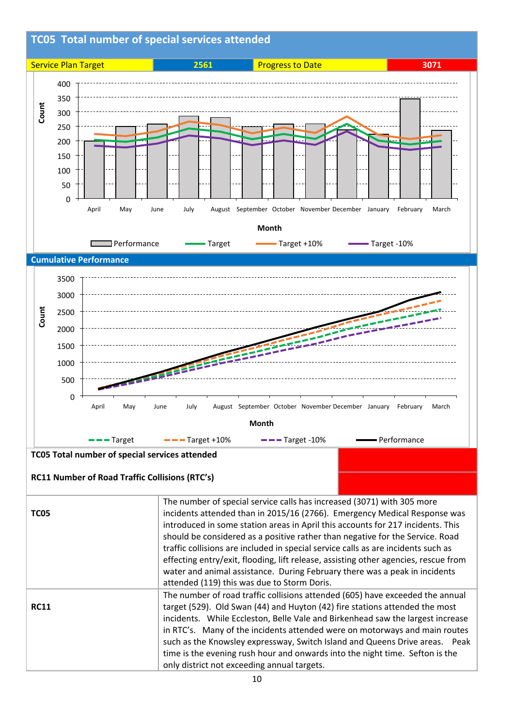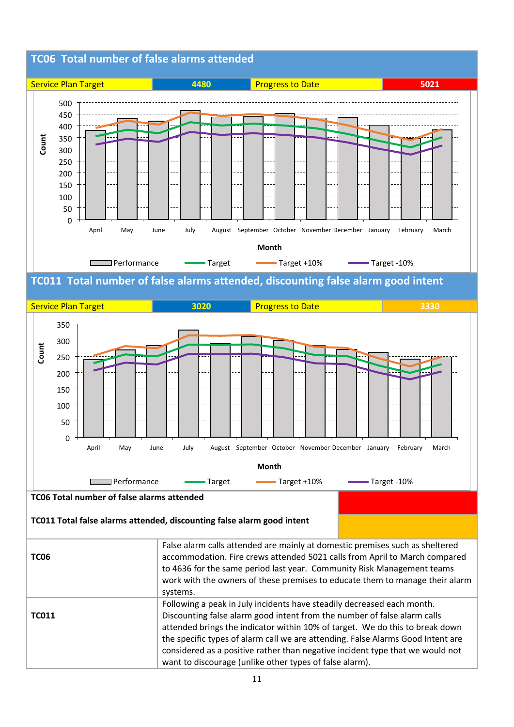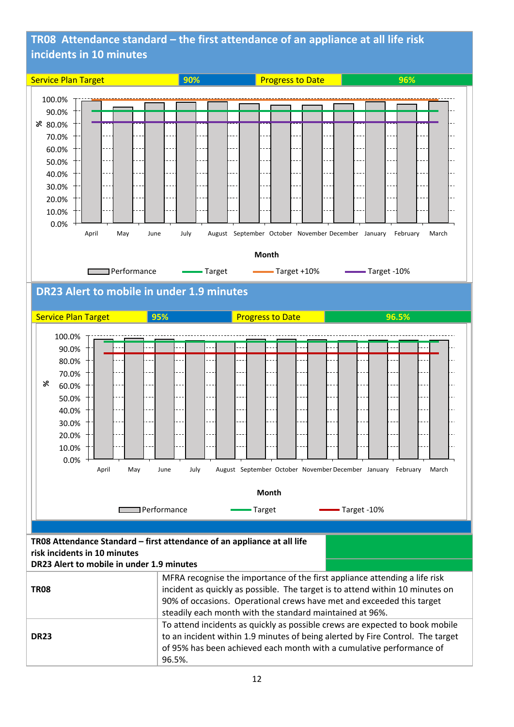## **TR08 Attendance standard – the first attendance of an appliance at all life risk incidents in 10 minutes**

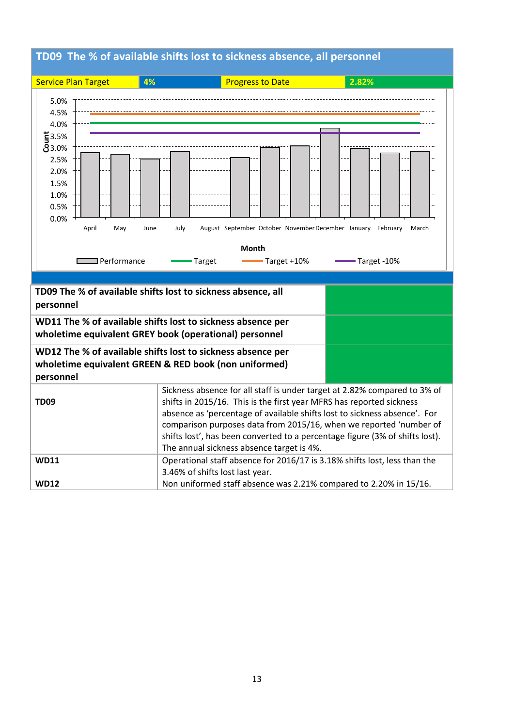